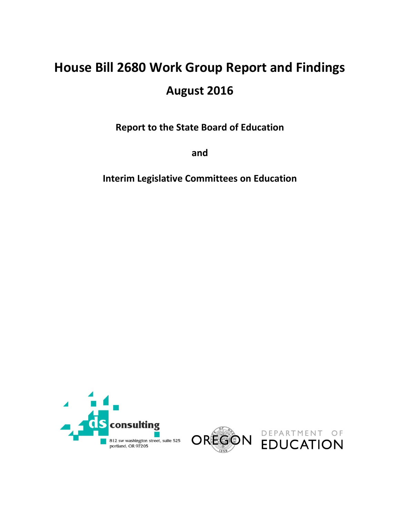# **House Bill 2680 Work Group Report and Findings August 2016**

 **Report to the State Board of Education**

**and**

 **Interim Legislative Committees on Education**





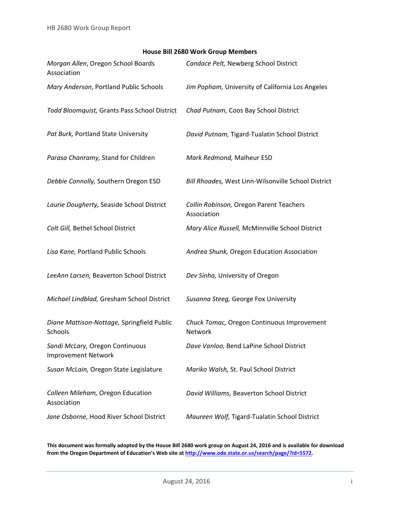#### **House Bill 2680 Work Group Members**

| Morgan Allen, Oregon School Boards<br>Association             | Candace Pelt, Newberg School District                  |
|---------------------------------------------------------------|--------------------------------------------------------|
| Mary Anderson, Portland Public Schools                        | Jim Popham, University of California Los Angeles       |
| Todd Bloomquist, Grants Pass School District                  | Chad Putnam, Coos Bay School District                  |
| Pat Burk, Portland State University                           | David Putnam, Tigard-Tualatin School District          |
| Parasa Chanramy, Stand for Children                           | Mark Redmond, Malheur ESD                              |
| Debbie Connolly, Southern Oregon ESD                          | Bill Rhoades, West Linn-Wilsonville School District    |
| Laurie Dougherty, Seaside School District                     | Collin Robinson, Oregon Parent Teachers<br>Association |
| Colt Gill, Bethel School District                             | Mary Alice Russell, McMinnville School District        |
| Lisa Kane, Portland Public Schools                            | Andrea Shunk, Oregon Education Association             |
| LeeAnn Larsen, Beaverton School District                      | Dev Sinha, University of Oregon                        |
| Michael Lindblad, Gresham School District                     | Susanna Steeg, George Fox University                   |
| Diane Mattison-Nottage, Springfield Public<br>Schools         | Chuck Tomac, Oregon Continuous Improvement<br>Network  |
| Sandi McLary, Oregon Continuous<br><b>Improvement Network</b> | Dave Vanloo, Bend LaPine School District               |
| Susan McLain, Oregon State Legislature                        | Mariko Walsh, St. Paul School District                 |
| Colleen Mileham, Oregon Education<br>Association              | David Williams, Beaverton School District              |
| Jane Osborne, Hood River School District                      | Maureen Wolf, Tigard-Tualatin School District          |

This document was formally adopted by the House Bill 2680 work group on August 24, 2016 and is available for download  **from the Oregon Department of Education's Web site at http://www.ode.state.or.us/search/page/?id=5572.**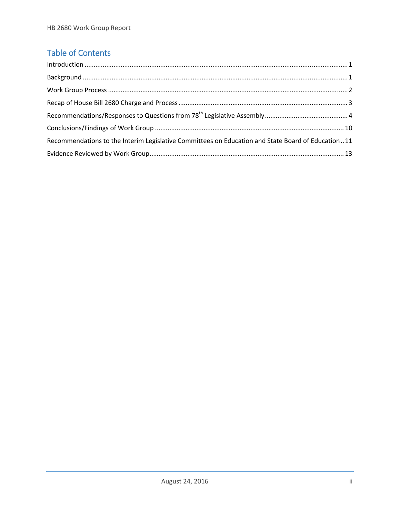# Table of Contents

| Recommendations to the Interim Legislative Committees on Education and State Board of Education11 |
|---------------------------------------------------------------------------------------------------|
|                                                                                                   |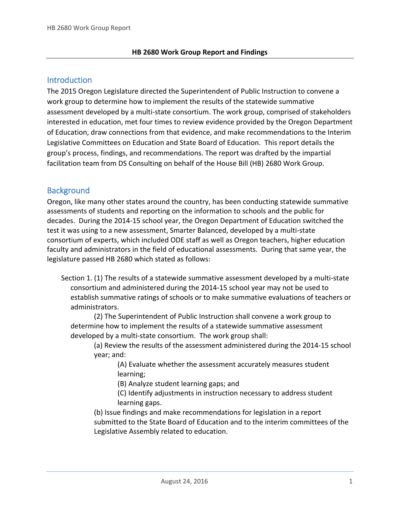# **Introduction**

 The 2015 Oregon Legislature directed the Superintendent of Public Instruction to convene a work group to determine how to implement the results of the statewide summative assessment developed by a multi‐state consortium. The work group, comprised of stakeholders interested in education, met four times to review evidence provided by the Oregon Department of Education, draw connections from that evidence, and make recommendations to the Interim Legislative Committees on Education and State Board of Education. This report details the group's process, findings, and recommendations. The report was drafted by the impartial facilitation team from DS Consulting on behalf of the House Bill (HB) 2680 Work Group.

# **Background**

 Oregon, like many other states around the country, has been conducting statewide summative assessments of students and reporting on the information to schools and the public for decades. During the 2014‐15 school year, the Oregon Department of Education switched the test it was using to a new assessment, Smarter Balanced, developed by a multi‐state consortium of experts, which included ODE staff as well as Oregon teachers, higher education faculty and administrators in the field of educational assessments. During that same year, the legislature passed HB 2680 which stated as follows:

 Section 1. (1) The results of a statewide summative assessment developed by a multi‐state consortium and administered during the 2014‐15 school year may not be used to establish summative ratings of schools or to make summative evaluations of teachers or administrators.

 (2) The Superintendent of Public Instruction shall convene a work group to determine how to implement the results of a statewide summative assessment developed by a multi‐state consortium. The work group shall:

 (a) Review the results of the assessment administered during the 2014‐15 school year; and:

 (A) Evaluate whether the assessment accurately measures student learning;

(B) Analyze student learning gaps; and

 (C) Identify adjustments in instruction necessary to address student learning gaps.

 (b) Issue findings and make recommendations for legislation in a report submitted to the State Board of Education and to the interim committees of the Legislative Assembly related to education.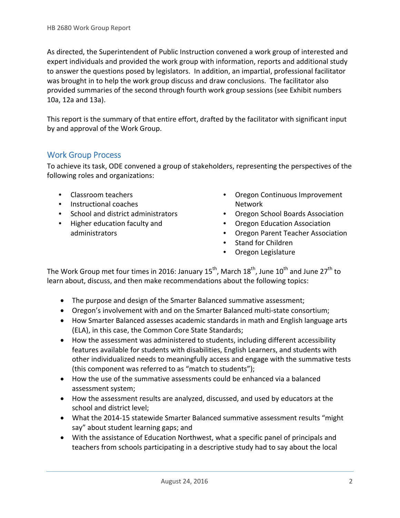As directed, the Superintendent of Public Instruction convened a work group of interested and expert individuals and provided the work group with information, reports and additional study to answer the questions posed by legislators. In addition, an impartial, professional facilitator was brought in to help the work group discuss and draw conclusions. The facilitator also provided summaries of the second through fourth work group sessions (see Exhibit numbers 10a, 12a and 13a).

 This report is the summary of that entire effort, drafted by the facilitator with significant input by and approval of the Work Group.

# Work Group Process

 To achieve its task, ODE convened a group of stakeholders, representing the perspectives of the following roles and organizations:

- Classroom teachers
- Instructional coaches Network
- 
- Higher education faculty and  **Oregon Education Association**
- Classroom teachers  **Classroom teachers •** Oregon Continuous Improvement
- School and district administrators Oregon School Boards Association Oregon School Boards Association
	- **Oregon Education Association**
	- administrators Oregon Parent Teacher Association
		- Stand for Children
		- Oregon Legislature

The Work Group met four times in 2016: January 15<sup>th</sup>, March 18<sup>th</sup>, June 10<sup>th</sup> and June 27<sup>th</sup> to learn about, discuss, and then make recommendations about the following topics:

- The purpose and design of the Smarter Balanced summative assessment;
- Oregon's involvement with and on the Smarter Balanced multi‐state consortium;
- How Smarter Balanced assesses academic standards in math and English language arts (ELA), in this case, the Common Core State Standards;
- How the assessment was administered to students, including different accessibility features available for students with disabilities, English Learners, and students with other individualized needs to meaningfully access and engage with the summative tests (this component was referred to as "match to students");
- How the use of the summative assessments could be enhanced via a balanced assessment system;
- How the assessment results are analyzed, discussed, and used by educators at the school and district level;
- What the 2014‐15 statewide Smarter Balanced summative assessment results "might say" about student learning gaps; and
- With the assistance of Education Northwest, what a specific panel of principals and teachers from schools participating in a descriptive study had to say about the local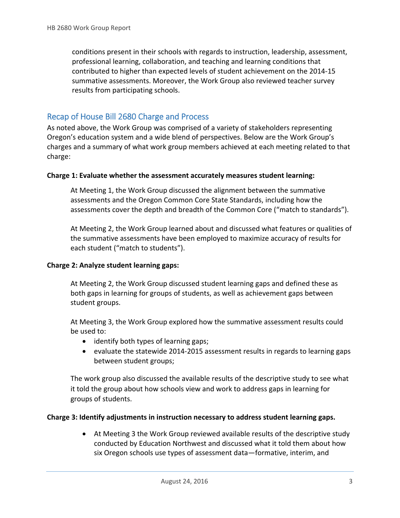conditions present in their schools with regards to instruction, leadership, assessment, professional learning, collaboration, and teaching and learning conditions that contributed to higher than expected levels of student achievement on the 2014‐15 summative assessments. Moreover, the Work Group also reviewed teacher survey results from participating schools.

# Recap of House Bill 2680 Charge and Process

 As noted above, the Work Group was comprised of a variety of stakeholders representing Oregon's education system and a wide blend of perspectives. Below are the Work Group's charges and a summary of what work group members achieved at each meeting related to that charge:

# **Charge 1: Evaluate whether the assessment accurately measures student learning:**

 At Meeting 1, the Work Group discussed the alignment between the summative assessments and the Oregon Common Core State Standards, including how the assessments cover the depth and breadth of the Common Core ("match to standards").

 At Meeting 2, the Work Group learned about and discussed what features or qualities of the summative assessments have been employed to maximize accuracy of results for each student ("match to students").

### **Charge 2: Analyze student learning gaps:**

 At Meeting 2, the Work Group discussed student learning gaps and defined these as both gaps in learning for groups of students, as well as achievement gaps between student groups.

 At Meeting 3, the Work Group explored how the summative assessment results could be used to:

- identify both types of learning gaps;
- evaluate the statewide 2014-2015 assessment results in regards to learning gaps between student groups;

 The work group also discussed the available results of the descriptive study to see what it told the group about how schools view and work to address gaps in learning for groups of students.

### **Charge 3: Identify adjustments in instruction necessary to address student learning gaps.**

 At Meeting 3 the Work Group reviewed available results of the descriptive study conducted by Education Northwest and discussed what it told them about how six Oregon schools use types of assessment data—formative, interim, and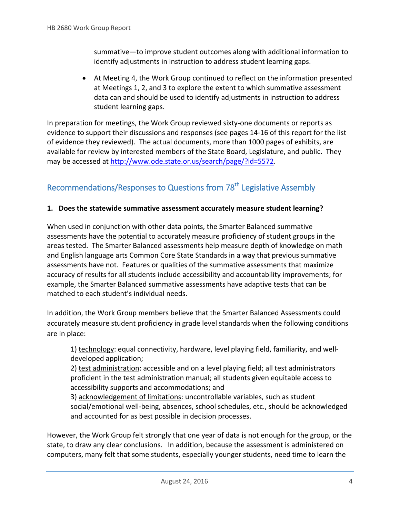summative—to improve student outcomes along with additional information to identify adjustments in instruction to address student learning gaps.

 At Meeting 4, the Work Group continued to reflect on the information presented at Meetings 1, 2, and 3 to explore the extent to which summative assessment data can and should be used to identify adjustments in instruction to address student learning gaps.

 In preparation for meetings, the Work Group reviewed sixty‐one documents or reports as evidence to support their discussions and responses (see pages 14‐16 of this report for the list of evidence they reviewed). The actual documents, more than 1000 pages of exhibits, are available for review by interested members of the State Board, Legislature, and public. They may be accessed at http://www.ode.state.or.us/search/page/?id=5572.

# Recommendations/Responses to Questions from 78<sup>th</sup> Legislative Assembly

### **1. Does the statewide summative assessment accurately measure student learning?**

 When used in conjunction with other data points, the Smarter Balanced summative assessments have the <u>potential</u> to accurately measure proficiency of student groups in the areas tested. The Smarter Balanced assessments help measure depth of knowledge on math and English language arts Common Core State Standards in a way that previous summative assessments have not. Features or qualities of the summative assessments that maximize accuracy of results for all students include accessibility and accountability improvements; for example, the Smarter Balanced summative assessments have adaptive tests that can be matched to each student's individual needs.

 In addition, the Work Group members believe that the Smarter Balanced Assessments could accurately measure student proficiency in grade level standards when the following conditions are in place:

1) technology: equal connectivity, hardware, level playing field, familiarity, and well-developed application;

2) test administration: accessible and on a level playing field; all test administrators proficient in the test administration manual; all students given equitable access to accessibility supports and accommodations; and

3) acknowledgement of limitations: uncontrollable variables, such as student social/emotional well‐being, absences, school schedules, etc., should be acknowledged and accounted for as best possible in decision processes.

 However, the Work Group felt strongly that one year of data is not enough for the group, or the state, to draw any clear conclusions. In addition, because the assessment is administered on computers, many felt that some students, especially younger students, need time to learn the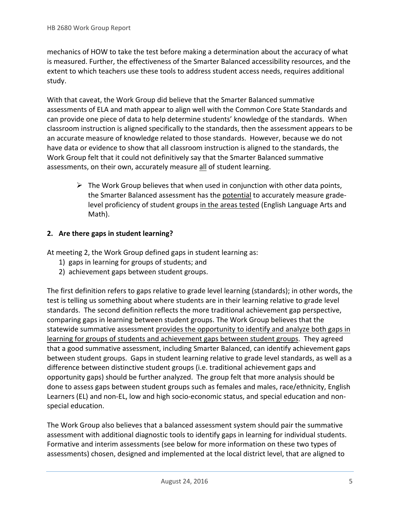mechanics of HOW to take the test before making a determination about the accuracy of what is measured. Further, the effectiveness of the Smarter Balanced accessibility resources, and the extent to which teachers use these tools to address student access needs, requires additional study.

 With that caveat, the Work Group did believe that the Smarter Balanced summative assessments of ELA and math appear to align well with the Common Core State Standards and can provide one piece of data to help determine students' knowledge of the standards. When classroom instruction is aligned specifically to the standards, then the assessment appears to be an accurate measure of knowledge related to those standards. However, because we do not have data or evidence to show that all classroom instruction is aligned to the standards, the Work Group felt that it could not definitively say that the Smarter Balanced summative assessments, on their own, accurately measure <u>all</u> of student learning.

 $\triangleright$  The Work Group believes that when used in conjunction with other data points, the Smarter Balanced assessment has the <u>potential</u> to accurately measure gradelevel proficiency of student groups in the areas tested (English Language Arts and Math).

# **2. Are there gaps in student learning?**

At meeting 2, the Work Group defined gaps in student learning as:

- 1) gaps in learning for groups of students; and
- 2) achievement gaps between student groups.

 The first definition refers to gaps relative to grade level learning (standards); in other words, the test is telling us something about where students are in their learning relative to grade level standards. The second definition reflects the more traditional achievement gap perspective, comparing gaps in learning between student groups. The Work Group believes that the statewide summative assessment provides the opportunity to identify and analyze both gaps in learning for groups of students and achievement gaps between student groups. They agreed that a good summative assessment, including Smarter Balanced, can identify achievement gaps between student groups. Gaps in student learning relative to grade level standards, as well as a difference between distinctive student groups (i.e. traditional achievement gaps and opportunity gaps) should be further analyzed. The group felt that more analysis should be done to assess gaps between student groups such as females and males, race/ethnicity, English Learners (EL) and non‐EL, low and high socio‐economic status, and special education and non‐ special education.

 The Work Group also believes that a balanced assessment system should pair the summative assessment with additional diagnostic tools to identify gaps in learning for individual students. Formative and interim assessments (see below for more information on these two types of assessments) chosen, designed and implemented at the local district level, that are aligned to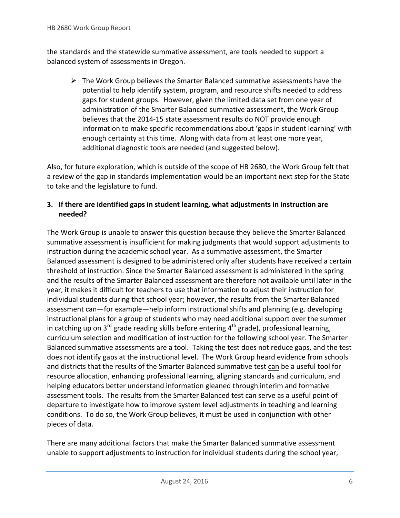the standards and the statewide summative assessment, are tools needed to support a balanced system of assessments in Oregon.

 $\triangleright$  The Work Group believes the Smarter Balanced summative assessments have the potential to help identify system, program, and resource shifts needed to address gaps for student groups. However, given the limited data set from one year of administration of the Smarter Balanced summative assessment, the Work Group believes that the 2014‐15 state assessment results do NOT provide enough information to make specific recommendations about 'gaps in student learning' with enough certainty at this time. Along with data from at least one more year, additional diagnostic tools are needed (and suggested below).

 Also, for future exploration, which is outside of the scope of HB 2680, the Work Group felt that a review of the gap in standards implementation would be an important next step for the State to take and the legislature to fund.

# 3. If there are identified gaps in student learning, what adjustments in instruction are **needed?**

 The Work Group is unable to answer this question because they believe the Smarter Balanced summative assessment is insufficient for making judgments that would support adjustments to instruction during the academic school year. As a summative assessment, the Smarter Balanced assessment is designed to be administered only after students have received a certain threshold of instruction. Since the Smarter Balanced assessment is administered in the spring and the results of the Smarter Balanced assessment are therefore not available until later in the year, it makes it difficult for teachers to use that information to adjust their instruction for individual students during that school year; however, the results from the Smarter Balanced assessment can—for example—help inform instructional shifts and planning (e.g. developing instructional plans for a group of students who may need additional support over the summer in catching up on 3<sup>rd</sup> grade reading skills before entering 4<sup>th</sup> grade), professional learning, curriculum selection and modification of instruction for the following school year. The Smarter Balanced summative assessments are a tool. Taking the test does not reduce gaps, and the test does not identify gaps at the instructional level. The Work Group heard evidence from schools and districts that the results of the Smarter Balanced summative test can be a useful tool for resource allocation, enhancing professional learning, aligning standards and curriculum, and helping educators better understand information gleaned through interim and formative assessment tools. The results from the Smarter Balanced test can serve as a useful point of departure to investigate how to improve system level adjustments in teaching and learning conditions. To do so, the Work Group believes, it must be used in conjunction with other pieces of data.

 There are many additional factors that make the Smarter Balanced summative assessment unable to support adjustments to instruction for individual students during the school year,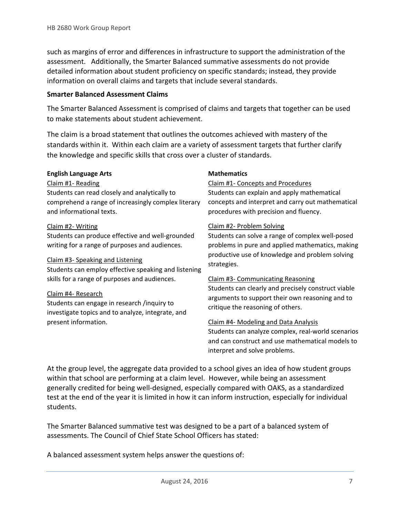such as margins of error and differences in infrastructure to support the administration of the assessment. Additionally, the Smarter Balanced summative assessments do not provide detailed information about student proficiency on specific standards; instead, they provide information on overall claims and targets that include several standards.

# **Smarter Balanced Assessment Claims**

 The Smarter Balanced Assessment is comprised of claims and targets that together can be used to make statements about student achievement.

 The claim is a broad statement that outlines the outcomes achieved with mastery of the standards within it. Within each claim are a variety of assessment targets that further clarify the knowledge and specific skills that cross over a cluster of standards.

### **English Language Arts**

 Claim #1‐ Reading Students can read closely and analytically to comprehend a range of increasingly complex literary and informational texts.

### Claim #2‐ Writing

 Students can produce effective and well‐grounded writing for a range of purposes and audiences.

#### Claim #3‐ Speaking and Listening

 Students can employ effective speaking and listening skills for a range of purposes and audiences.

#### Claim #4‐ Research

 Students can engage in research /inquiry to investigate topics and to analyze, integrate, and present information.

### **Mathematics**

 Claim #1‐ Concepts and Procedures Students can explain and apply mathematical concepts and interpret and carry out mathematical procedures with precision and fluency.

### Claim #2‐ Problem Solving

 Students can solve a range of complex well‐posed problems in pure and applied mathematics, making productive use of knowledge and problem solving strategies.

### Claim #3‐ Communicating Reasoning

 Students can clearly and precisely construct viable arguments to support their own reasoning and to critique the reasoning of others.

#### Claim #4‐ Modeling and Data Analysis

 Students can analyze complex, real‐world scenarios and can construct and use mathematical models to interpret and solve problems.

 At the group level, the aggregate data provided to a school gives an idea of how student groups within that school are performing at a claim level. However, while being an assessment generally credited for being well‐designed, especially compared with OAKS, as a standardized test at the end of the year it is limited in how it can inform instruction, especially for individual students.

 The Smarter Balanced summative test was designed to be a part of a balanced system of assessments. The Council of Chief State School Officers has stated:

A balanced assessment system helps answer the questions of: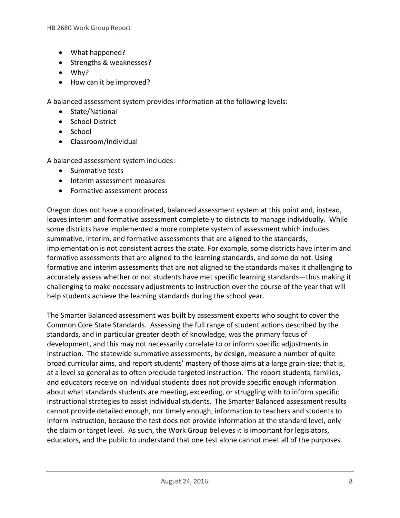- What happened?
- Strengths & weaknesses?
- Why?
- How can it be improved?

A balanced assessment system provides information at the following levels:

- State/National
- **•** School District
- School
- Classroom/Individual

A balanced assessment system includes:

- Summative tests
- Interim assessment measures
- Formative assessment process

 Oregon does not have a coordinated, balanced assessment system at this point and, instead, leaves interim and formative assessment completely to districts to manage individually. While some districts have implemented a more complete system of assessment which includes summative, interim, and formative assessments that are aligned to the standards, implementation is not consistent across the state. For example, some districts have interim and formative assessments that are aligned to the learning standards, and some do not. Using formative and interim assessments that are not aligned to the standards makes it challenging to accurately assess whether or not students have met specific learning standards—thus making it challenging to make necessary adjustments to instruction over the course of the year that will help students achieve the learning standards during the school year.

 The Smarter Balanced assessment was built by assessment experts who sought to cover the Common Core State Standards. Assessing the full range of student actions described by the standards, and in particular greater depth of knowledge, was the primary focus of development, and this may not necessarily correlate to or inform specific adjustments in instruction. The statewide summative assessments, by design, measure a number of quite broad curricular aims, and report students' mastery of those aims at a large grain‐size; that is, at a level so general as to often preclude targeted instruction. The report students, families, and educators receive on individual students does not provide specific enough information about what standards students are meeting, exceeding, or struggling with to inform specific instructional strategies to assist individual students. The Smarter Balanced assessment results cannot provide detailed enough, nor timely enough, information to teachers and students to inform instruction, because the test does not provide information at the standard level, only the claim or target level. As such, the Work Group believes it is important for legislators, educators, and the public to understand that one test alone cannot meet all of the purposes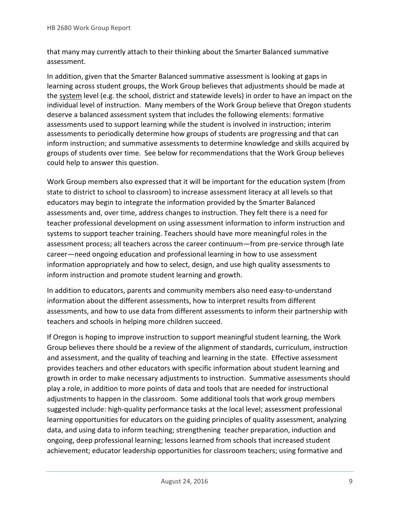that many may currently attach to their thinking about the Smarter Balanced summative assessment.

 In addition, given that the Smarter Balanced summative assessment is looking at gaps in learning across student groups, the Work Group believes that adjustments should be made at the system level (e.g. the school, district and statewide levels) in order to have an impact on the individual level of instruction. Many members of the Work Group believe that Oregon students deserve a balanced assessment system that includes the following elements: formative assessments used to support learning while the student is involved in instruction; interim inform instruction; and summative assessments to determine knowledge and skills acquired by groups of students over time. See below for recommendations that the Work Group believes could help to answer this question. assessments to periodically determine how groups of students are progressing and that can

 Work Group members also expressed that it will be important for the education system (from state to district to school to classroom) to increase assessment literacy at all levels so that educators may begin to integrate the information provided by the Smarter Balanced assessments and, over time, address changes to instruction. They felt there is a need for teacher professional development on using assessment information to inform instruction and systems to support teacher training. Teachers should have more meaningful roles in the assessment process; all teachers across the career continuum—from pre‐service through late career—need ongoing education and professional learning in how to use assessment information appropriately and how to select, design, and use high quality assessments to inform instruction and promote student learning and growth.

 In addition to educators, parents and community members also need easy‐to‐understand information about the different assessments, how to interpret results from different assessments, and how to use data from different assessments to inform their partnership with teachers and schools in helping more children succeed.

 If Oregon is hoping to improve instruction to support meaningful student learning, the Work Group believes there should be a review of the alignment of standards, curriculum, instruction and assessment, and the quality of teaching and learning in the state. Effective assessment provides teachers and other educators with specific information about student learning and growth in order to make necessary adjustments to instruction. Summative assessments should play a role, in addition to more points of data and tools that are needed for instructional adjustments to happen in the classroom. Some additional tools that work group members suggested include: high‐quality performance tasks at the local level; assessment professional learning opportunities for educators on the guiding principles of quality assessment, analyzing data, and using data to inform teaching; strengthening teacher preparation, induction and ongoing, deep professional learning; lessons learned from schools that increased student achievement; educator leadership opportunities for classroom teachers; using formative and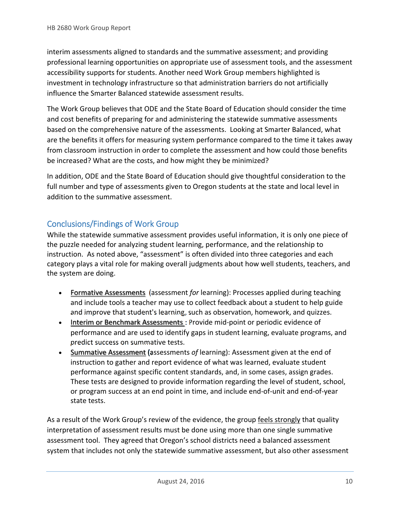interim assessments aligned to standards and the summative assessment; and providing professional learning opportunities on appropriate use of assessment tools, and the assessment accessibility supports for students. Another need Work Group members highlighted is investment in technology infrastructure so that administration barriers do not artificially influence the Smarter Balanced statewide assessment results.

 The Work Group believes that ODE and the State Board of Education should consider the time and cost benefits of preparing for and administering the statewide summative assessments based on the comprehensive nature of the assessments. Looking at Smarter Balanced, what are the benefits it offers for measuring system performance compared to the time it takes away from classroom instruction in order to complete the assessment and how could those benefits be increased? What are the costs, and how might they be minimized?

 In addition, ODE and the State Board of Education should give thoughtful consideration to the full number and type of assessments given to Oregon students at the state and local level in addition to the summative assessment.

# Conclusions/Findings of Work Group

 While the statewide summative assessment provides useful information, it is only one piece of the puzzle needed for analyzing student learning, performance, and the relationship to instruction. As noted above, "assessment" is often divided into three categories and each category plays a vital role for making overall judgments about how well students, teachers, and the system are doing.

- **-** Formative Assessments (assessment for learning): Processes applied during teaching and include tools a teacher may use to collect feedback about a student to help guide and improve that student's learning, such as observation, homework, and quizzes.
- Interim or Benchmark Assessments: Provide mid-point or periodic evidence of performance and are used to identify gaps in student learning, evaluate programs, and predict success on summative tests.
- **Summative Assessment (assessments of learning): Assessment given at the end of**  instruction to gather and report evidence of what was learned, evaluate student performance against specific content standards, and, in some cases, assign grades. These tests are designed to provide information regarding the level of student, school, or program success at an end point in time, and include end‐of‐unit and end‐of‐year state tests.

As a result of the Work Group's review of the evidence, the group feels strongly that quality interpretation of assessment results must be done using more than one single summative assessment tool. They agreed that Oregon's school districts need a balanced assessment system that includes not only the statewide summative assessment, but also other assessment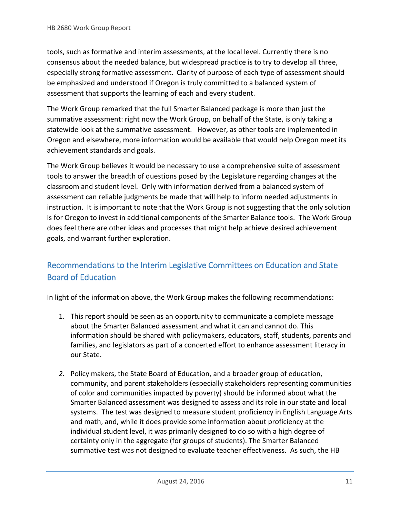tools, such as formative and interim assessments, at the local level. Currently there is no consensus about the needed balance, but widespread practice is to try to develop all three, especially strong formative assessment. Clarity of purpose of each type of assessment should be emphasized and understood if Oregon is truly committed to a balanced system of assessment that supports the learning of each and every student.

 The Work Group remarked that the full Smarter Balanced package is more than just the summative assessment: right now the Work Group, on behalf of the State, is only taking a statewide look at the summative assessment. However, as other tools are implemented in Oregon and elsewhere, more information would be available that would help Oregon meet its achievement standards and goals.

 The Work Group believes it would be necessary to use a comprehensive suite of assessment tools to answer the breadth of questions posed by the Legislature regarding changes at the classroom and student level. Only with information derived from a balanced system of assessment can reliable judgments be made that will help to inform needed adjustments in instruction. It is important to note that the Work Group is not suggesting that the only solution is for Oregon to invest in additional components of the Smarter Balance tools. The Work Group does feel there are other ideas and processes that might help achieve desired achievement goals, and warrant further exploration.

# Recommendations to the Interim Legislative Committees on Education and State Board of Education

In light of the information above, the Work Group makes the following recommendations:

- 1. This report should be seen as an opportunity to communicate a complete message about the Smarter Balanced assessment and what it can and cannot do. This information should be shared with policymakers, educators, staff, students, parents and families, and legislators as part of a concerted effort to enhance assessment literacy in our State.
- *2.* Policy makers, the State Board of Education, and a broader group of education, community, and parent stakeholders (especially stakeholders representing communities of color and communities impacted by poverty) should be informed about what the Smarter Balanced assessment was designed to assess and its role in our state and local systems. The test was designed to measure student proficiency in English Language Arts and math, and, while it does provide some information about proficiency at the individual student level, it was primarily designed to do so with a high degree of certainty only in the aggregate (for groups of students). The Smarter Balanced summative test was not designed to evaluate teacher effectiveness. As such, the HB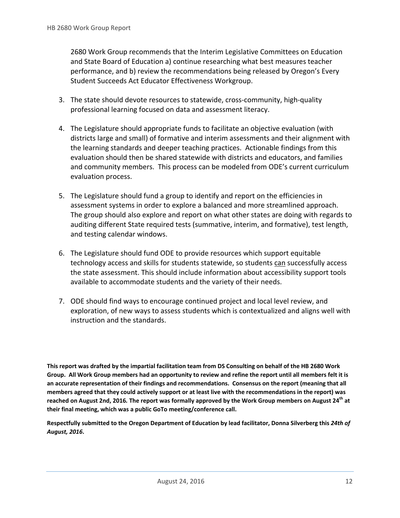2680 Work Group recommends that the Interim Legislative Committees on Education and State Board of Education a) continue researching what best measures teacher performance, and b) review the recommendations being released by Oregon's Every Student Succeeds Act Educator Effectiveness Workgroup.

- 3. The state should devote resources to statewide, cross‐community, high‐quality professional learning focused on data and assessment literacy.
- 4. The Legislature should appropriate funds to facilitate an objective evaluation (with districts large and small) of formative and interim assessments and their alignment with the learning standards and deeper teaching practices. Actionable findings from this evaluation should then be shared statewide with districts and educators, and families and community members. This process can be modeled from ODE's current curriculum evaluation process.
- 5. The Legislature should fund a group to identify and report on the efficiencies in assessment systems in order to explore a balanced and more streamlined approach. The group should also explore and report on what other states are doing with regards to auditing different State required tests (summative, interim, and formative), test length, and testing calendar windows.
- 6. The Legislature should fund ODE to provide resources which support equitable technology access and skills for students statewide, so students can successfully access the state assessment. This should include information about accessibility support tools available to accommodate students and the variety of their needs.
- 7. ODE should find ways to encourage continued project and local level review, and exploration, of new ways to assess students which is contextualized and aligns well with instruction and the standards.

This report was drafted by the impartial facilitation team from DS Consulting on behalf of the HB 2680 Work Group. All Work Group members had an opportunity to review and refine the report until all members felt it is an accurate representation of their findings and recommendations. Consensus on the report (meaning that all members agreed that they could actively support or at least live with the recommendations in the report) was reached on August 2nd, 2016. The report was formally approved by the Work Group members on August 24<sup>th</sup> at  **their final meeting, which was a public GoTo meeting/conference call.**

Respectfully submitted to the Oregon Department of Education by lead facilitator, Donna Silverberg this 24th of  *August, 2016***.**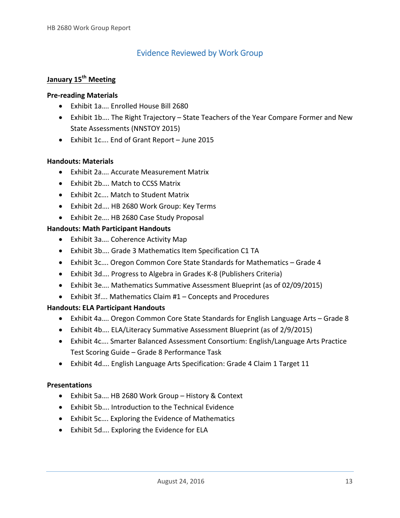# Evidence Reviewed by Work Group

# **January 15th Meeting**

# **Pre‐reading Materials**

- Exhibit 1a…. Enrolled House Bill 2680
- Exhibit 1b…. The Right Trajectory State Teachers of the Year Compare Former and New State Assessments (NNSTOY 2015)
- Exhibit 1c…. End of Grant Report June 2015

# **Handouts: Materials**

- Exhibit 2a…. Accurate Measurement Matrix
- Exhibit 2b…. Match to CCSS Matrix
- Exhibit 2c.... Match to Student Matrix
- Exhibit 2d…. HB 2680 Work Group: Key Terms
- Exhibit 2e…. HB 2680 Case Study Proposal

# **Handouts: Math Participant Handouts**

- Exhibit 3a…. Coherence Activity Map
- Exhibit 3b…. Grade 3 Mathematics Item Specification C1 TA
- Exhibit 3c…. Oregon Common Core State Standards for Mathematics Grade 4
- Exhibit 3d…. Progress to Algebra in Grades K‐8 (Publishers Criteria)
- Exhibit 3e…. Mathematics Summative Assessment Blueprint (as of 02/09/2015)
- Exhibit 3f…. Mathematics Claim #1 Concepts and Procedures

# **Handouts: ELA Participant Handouts**

- Exhibit 4a…. Oregon Common Core State Standards for English Language Arts Grade 8
- Exhibit 4b…. ELA/Literacy Summative Assessment Blueprint (as of 2/9/2015)
- Exhibit 4c…. Smarter Balanced Assessment Consortium: English/Language Arts Practice Test Scoring Guide – Grade 8 Performance Task
- Exhibit 4d…. English Language Arts Specification: Grade 4 Claim 1 Target 11

# **Presentations**

- Exhibit 5a…. HB 2680 Work Group History & Context
- Exhibit 5b…. Introduction to the Technical Evidence
- Exhibit 5c…. Exploring the Evidence of Mathematics
- Exhibit 5d…. Exploring the Evidence for ELA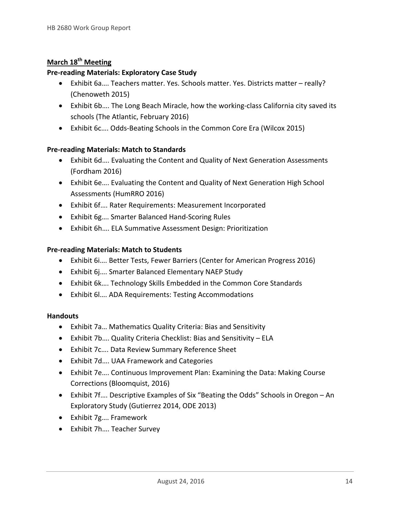# **March 18th Meeting**

# **Pre‐reading Materials: Exploratory Case Study**

- Exhibit 6a…. Teachers matter. Yes. Schools matter. Yes. Districts matter really? (Chenoweth 2015)
- Exhibit 6b.... The Long Beach Miracle, how the working-class California city saved its schools (The Atlantic, February 2016)
- Exhibit 6c.... Odds-Beating Schools in the Common Core Era (Wilcox 2015)

# **Pre‐reading Materials: Match to Standards**

- Exhibit 6d…. Evaluating the Content and Quality of Next Generation Assessments (Fordham 2016)
- Exhibit 6e…. Evaluating the Content and Quality of Next Generation High School Assessments (HumRRO 2016)
- Exhibit 6f…. Rater Requirements: Measurement Incorporated
- Exhibit 6g…. Smarter Balanced Hand‐Scoring Rules
- Exhibit 6h…. ELA Summative Assessment Design: Prioritization

### **Pre‐reading Materials: Match to Students**

- Exhibit 6i…. Better Tests, Fewer Barriers (Center for American Progress 2016)
- Exhibit 6j…. Smarter Balanced Elementary NAEP Study
- Exhibit 6k…. Technology Skills Embedded in the Common Core Standards
- Exhibit 6l…. ADA Requirements: Testing Accommodations

### **Handouts**

- Exhibit 7a… Mathematics Quality Criteria: Bias and Sensitivity
- Exhibit 7b…. Quality Criteria Checklist: Bias and Sensitivity ELA
- Exhibit 7c…. Data Review Summary Reference Sheet
- Exhibit 7d…. UAA Framework and Categories
- Exhibit 7e…. Continuous Improvement Plan: Examining the Data: Making Course Corrections (Bloomquist, 2016)
- Exhibit 7f…. Descriptive Examples of Six "Beating the Odds" Schools in Oregon An Exploratory Study (Gutierrez 2014, ODE 2013)
- Exhibit 7g…. Framework
- Exhibit 7h…. Teacher Survey